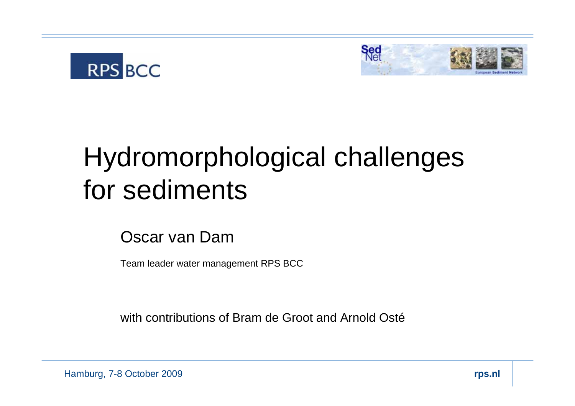



### Hydromorphological challenges for sediments

Oscar van Dam

Team leader water management RPS BCC

with contributions of Bram de Groot and Arnold Osté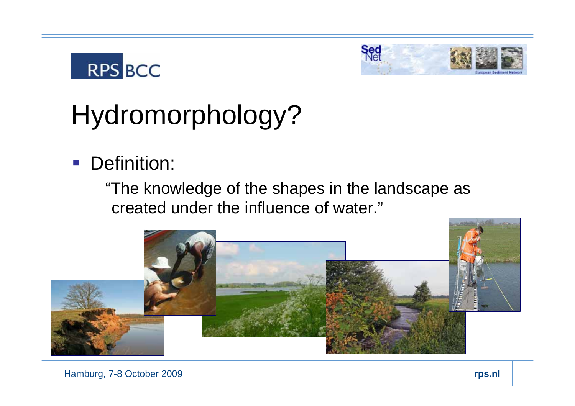



# Hydromorphology?

**Definition:** 

"The knowledge of the shapes in the landscape as created under the influence of water."

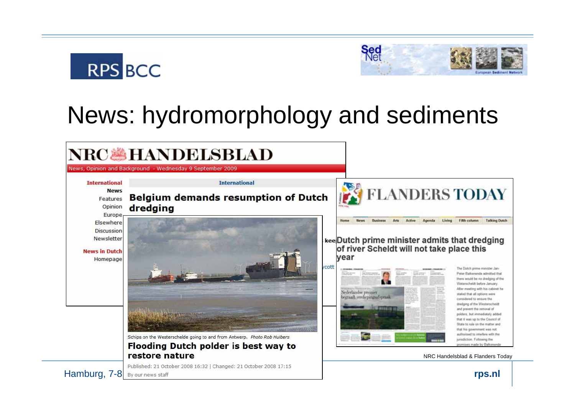



### News: hydromorphology and sediments

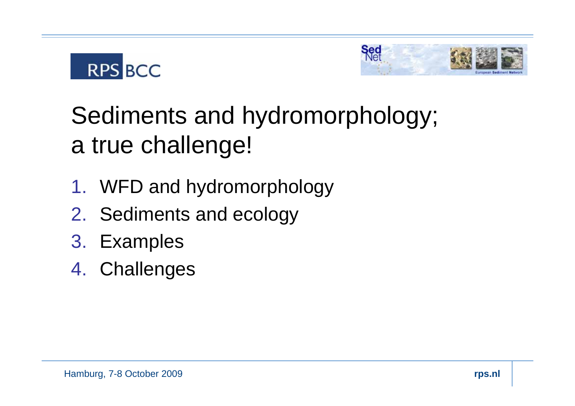



### Sediments and hydromorphology; a true challenge!

- 1. WFD and hydromorphology
- 2. Sediments and ecology
- 3. Examples
- 4. Challenges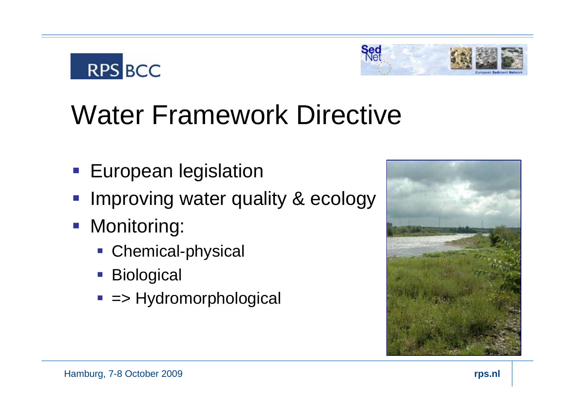# Water Framework Directive

- **European legislation**
- p. Improving water quality & ecology
- **Monitoring:**

**RPS BCC** 

- **Chemical-physical**
- Biological
- => Hydromorphological



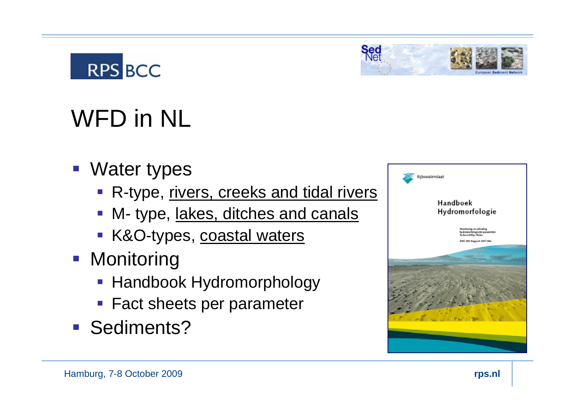

# Sed

## WFD in NL

- **Water types** 
	- **R-type, rivers, creeks and tidal rivers**
	- M- type, lakes, ditches and canals
	- K&O-types, coastal waters
- **Monitoring** 
	- **Handbook Hydromorphology**
	- **Fact sheets per parameter**
- Sediments?

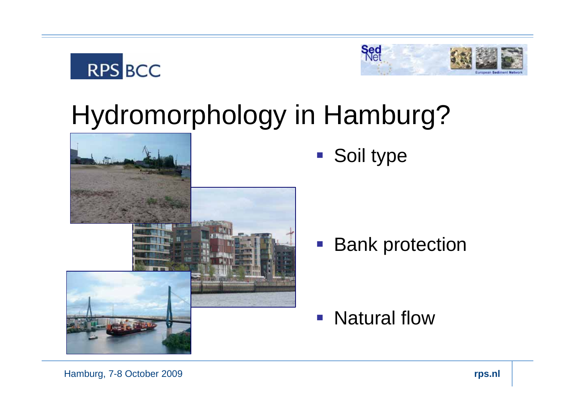



### Hydromorphology in Hamburg?



■ Soil type

■ Bank protection

**Natural flow** 

Hamburg, 7-8 October 2009 **rps.nl**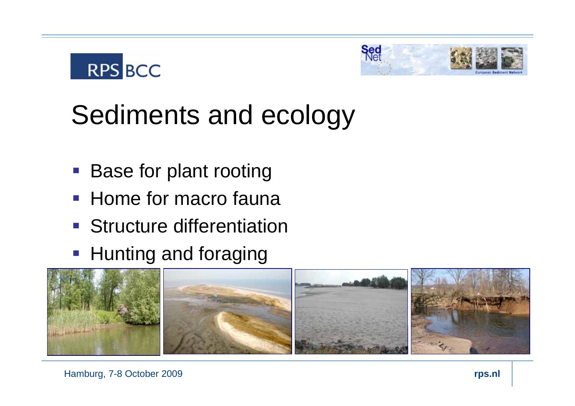



## Sediments and ecology

- **Base for plant rooting**
- **Home for macro fauna**
- **Structure differentiation**
- **Hunting and foraging**

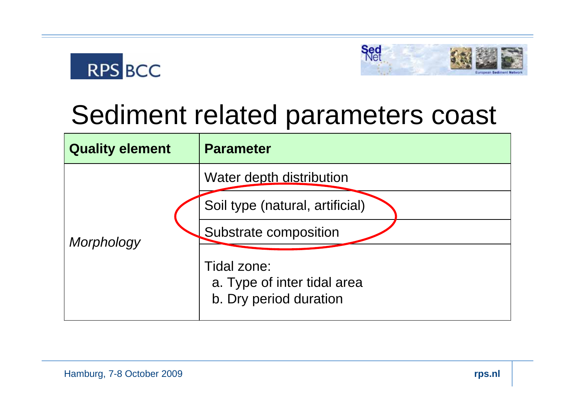



### Sediment related parameters coast

| <b>Quality element</b> | <b>Parameter</b>                                                                                                                                             |
|------------------------|--------------------------------------------------------------------------------------------------------------------------------------------------------------|
| Morphology             | Water depth distribution<br>Soil type (natural, artificial)<br>Substrate composition<br>Tidal zone:<br>a. Type of inter tidal area<br>b. Dry period duration |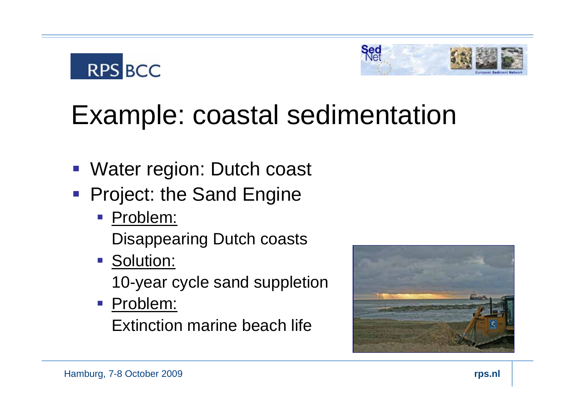



## Example: coastal sedimentation

- Water region: Dutch coast
- **Project: the Sand Engine** 
	- Problem:

Disappearing Dutch coasts

■ Solution:

10-year cycle sand suppletion

**Problem:** 

Extinction marine beach life

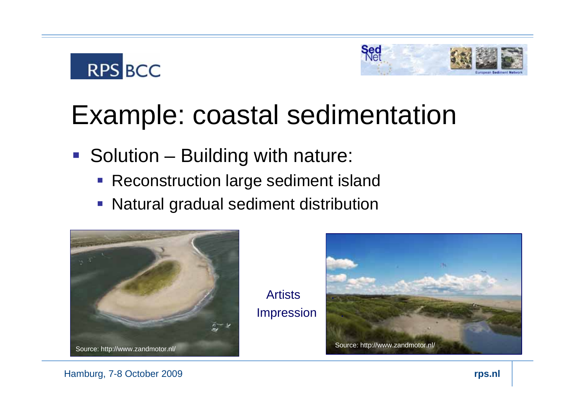

### Example: coastal sedimentation

- **Solution Building with nature:** 
	- **Reconstruction large sediment island**
	- $\Box$ Natural gradual sediment distribution



Artists .**Impression** 



#### Hamburg, 7-8 October 2009 **rps.nl**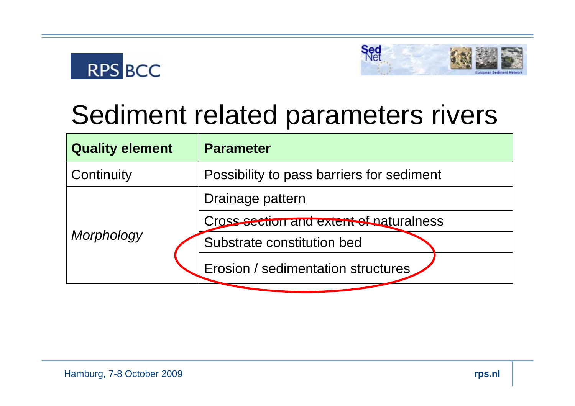



### Sediment related parameters rivers

| <b>Quality element</b> | <b>Parameter</b>                          |
|------------------------|-------------------------------------------|
| Continuity             | Possibility to pass barriers for sediment |
| Morphology             | Drainage pattern                          |
|                        | Cross section and extent of paturalness   |
|                        | Substrate constitution bed                |
|                        | Erosion / sedimentation structures        |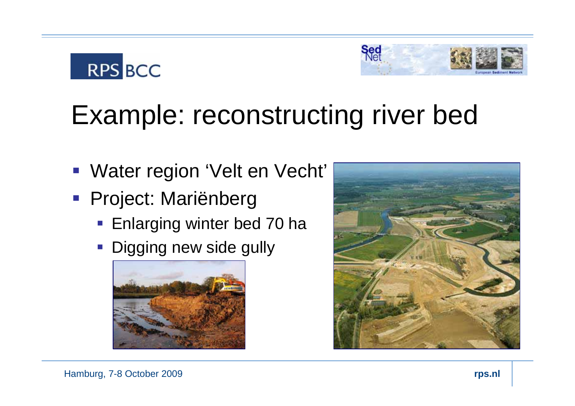

## Example: reconstructing river bed

- Water region 'Velt en Vecht'
- Project: Mariënberg
	- **Enlarging winter bed 70 hat**
	- **Digging new side gully**



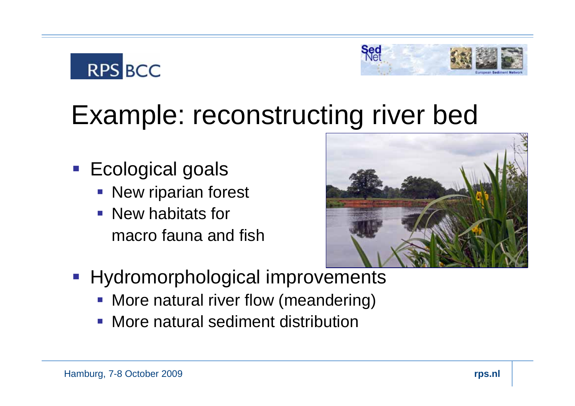

## Example: reconstructing river bed

- **Ecological goals** 
	- **New riparian forest**
	- **New habitats for** macro fauna and fish



- **Hydromorphological improvements** 
	- **More natural river flow (meandering)**
	- **More natural sediment distribution**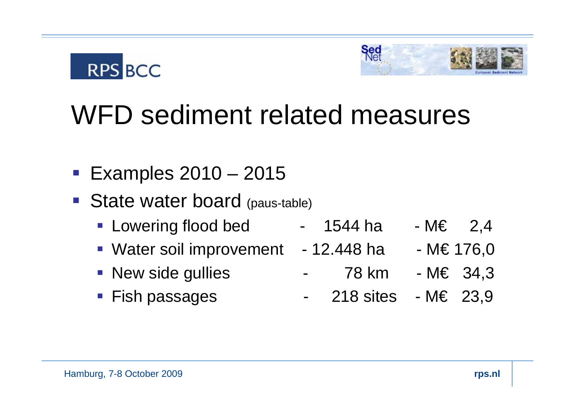



## WFD sediment related measures

- **Examples 2010 2015**
- **State water board (paus-table)** 
	- Lowering flood bed  $-$  1544 ha  $-$  M $\epsilon$  2,4
	- Water soil improvement 12.448 ha M€ 176,0
	- New side gullies - 78 km - M€ 34,3
	- Fish passages 218 sites M€ 23,9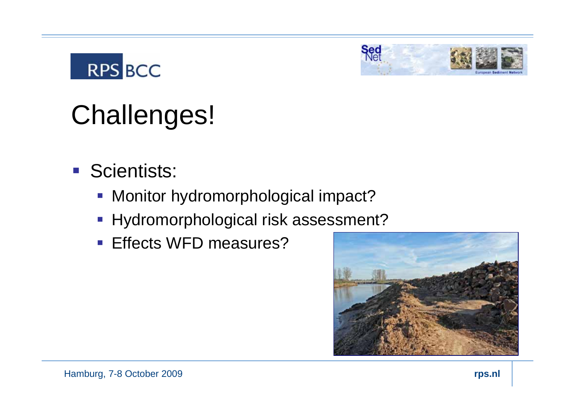



# Challenges!

- **Scientists:** 
	- **Monitor hydromorphological impact?**
	- **Hydromorphological risk assessment?**
	- **Effects WFD measures?**

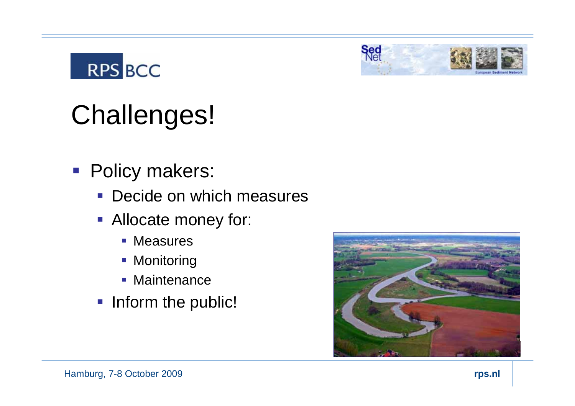



# Challenges!

- **Policy makers:** 
	- Decide on which measures
	- **Allocate money for:** 
		- **Measures**
		- **Monitoring**
		- **Maintenance**
	- **Inform the public!**

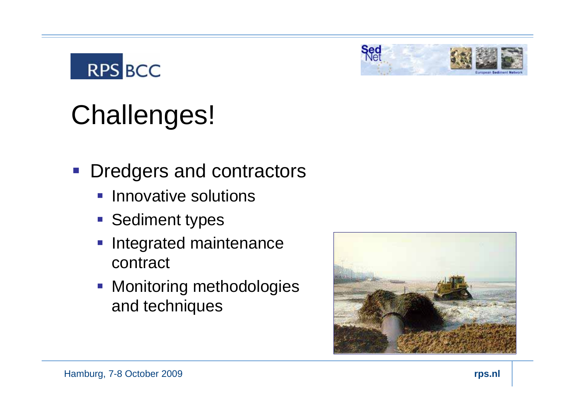

- **Dredgers and contractors** 
	- **Innovative solutions**
	- **Sediment types**
	- **Integrated maintenance** contract
	- **Monitoring methodologies** and techniques



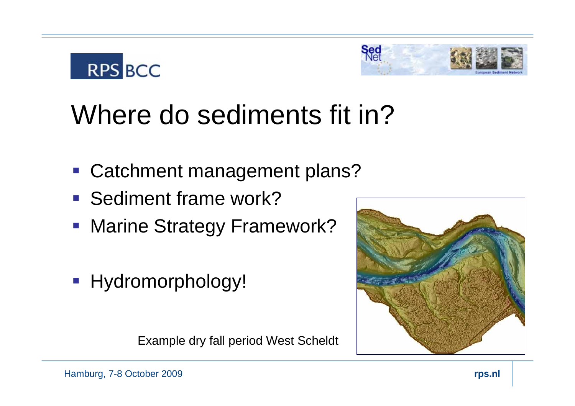



## Where do sediments fit in?

- **Catchment management plans?**
- **Sediment frame work?**
- **Marine Strategy Framework?**
- **Hydromorphology!**

Example dry fall period West Scheldt